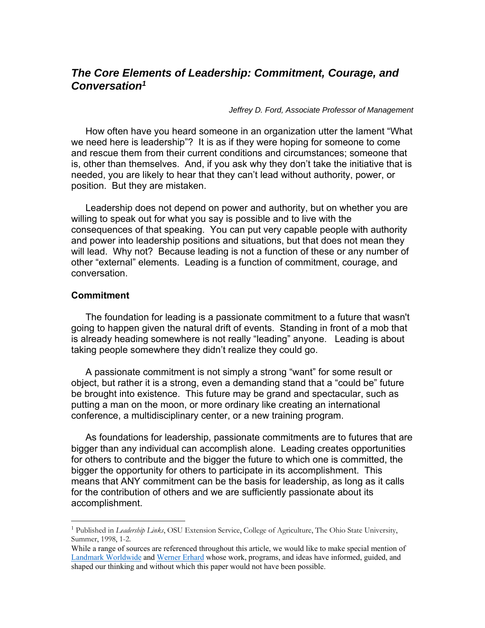# *The Core Elements of Leadership: Commitment, Courage, and Conversation1*

*Jeffrey D. Ford, Associate Professor of Management* 

How often have you heard someone in an organization utter the lament "What we need here is leadership"? It is as if they were hoping for someone to come and rescue them from their current conditions and circumstances; someone that is, other than themselves. And, if you ask why they don't take the initiative that is needed, you are likely to hear that they can't lead without authority, power, or position. But they are mistaken.

Leadership does not depend on power and authority, but on whether you are willing to speak out for what you say is possible and to live with the consequences of that speaking. You can put very capable people with authority and power into leadership positions and situations, but that does not mean they will lead. Why not? Because leading is not a function of these or any number of other "external" elements. Leading is a function of commitment, courage, and conversation.

#### **Commitment**

 $\overline{a}$ 

The foundation for leading is a passionate commitment to a future that wasn't going to happen given the natural drift of events. Standing in front of a mob that is already heading somewhere is not really "leading" anyone. Leading is about taking people somewhere they didn't realize they could go.

A passionate commitment is not simply a strong "want" for some result or object, but rather it is a strong, even a demanding stand that a "could be" future be brought into existence. This future may be grand and spectacular, such as putting a man on the moon, or more ordinary like creating an international conference, a multidisciplinary center, or a new training program.

As foundations for leadership, passionate commitments are to futures that are bigger than any individual can accomplish alone. Leading creates opportunities for others to contribute and the bigger the future to which one is committed, the bigger the opportunity for others to participate in its accomplishment. This means that ANY commitment can be the basis for leadership, as long as it calls for the contribution of others and we are sufficiently passionate about its accomplishment.

<sup>1</sup> Published in *Leadership Links*, OSU Extension Service, College of Agriculture, The Ohio State University, Summer, 1998, 1-2.

While a range of sources are referenced throughout this article, we would like to make special mention of Landmark Worldwide and Werner Erhard whose work, programs, and ideas have informed, guided, and shaped our thinking and without which this paper would not have been possible.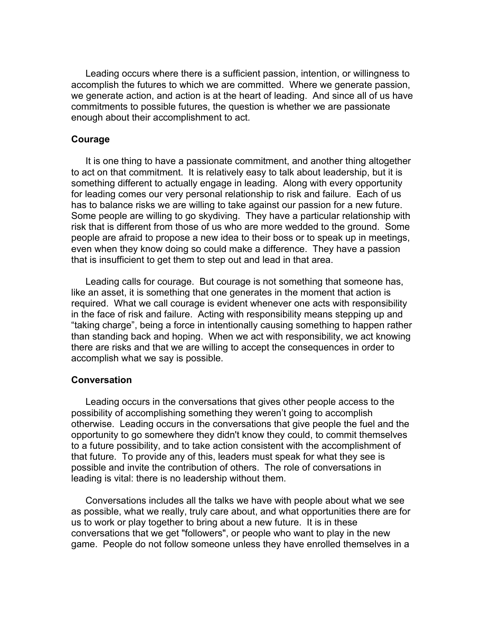Leading occurs where there is a sufficient passion, intention, or willingness to accomplish the futures to which we are committed. Where we generate passion, we generate action, and action is at the heart of leading. And since all of us have commitments to possible futures, the question is whether we are passionate enough about their accomplishment to act.

## **Courage**

It is one thing to have a passionate commitment, and another thing altogether to act on that commitment. It is relatively easy to talk about leadership, but it is something different to actually engage in leading. Along with every opportunity for leading comes our very personal relationship to risk and failure. Each of us has to balance risks we are willing to take against our passion for a new future. Some people are willing to go skydiving. They have a particular relationship with risk that is different from those of us who are more wedded to the ground. Some people are afraid to propose a new idea to their boss or to speak up in meetings, even when they know doing so could make a difference. They have a passion that is insufficient to get them to step out and lead in that area.

Leading calls for courage. But courage is not something that someone has, like an asset, it is something that one generates in the moment that action is required. What we call courage is evident whenever one acts with responsibility in the face of risk and failure. Acting with responsibility means stepping up and "taking charge", being a force in intentionally causing something to happen rather than standing back and hoping. When we act with responsibility, we act knowing there are risks and that we are willing to accept the consequences in order to accomplish what we say is possible.

## **Conversation**

Leading occurs in the conversations that gives other people access to the possibility of accomplishing something they weren't going to accomplish otherwise. Leading occurs in the conversations that give people the fuel and the opportunity to go somewhere they didn't know they could, to commit themselves to a future possibility, and to take action consistent with the accomplishment of that future. To provide any of this, leaders must speak for what they see is possible and invite the contribution of others. The role of conversations in leading is vital: there is no leadership without them.

Conversations includes all the talks we have with people about what we see as possible, what we really, truly care about, and what opportunities there are for us to work or play together to bring about a new future. It is in these conversations that we get "followers", or people who want to play in the new game. People do not follow someone unless they have enrolled themselves in a